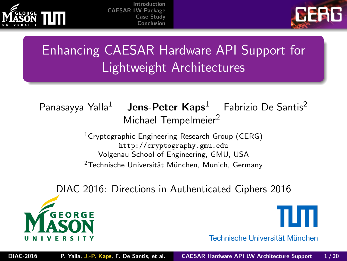<span id="page-0-0"></span>



## Enhancing CAESAR Hardware API Support for Lightweight Architectures

Panasayya Yalla<sup>1</sup> **Jens-Peter Kaps**<sup>1</sup> Fabrizio De Santis<sup>2</sup> Michael Tempelmeier<sup>2</sup>

> <sup>1</sup>Cryptographic Engineering Research Group (CERG) [http://cryptography.gmu.edu](http://cryptography.gmu.edu ) Volgenau School of Engineering, GMU, USA  $2$ Technische Universität München, Munich, Germany

DIAC 2016: Directions in Authenticated Ciphers 2016





Technische Universität München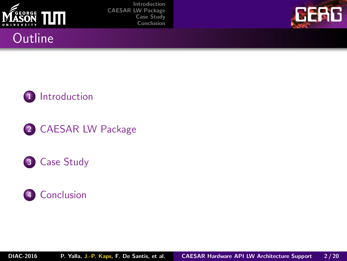



#### **Outline**







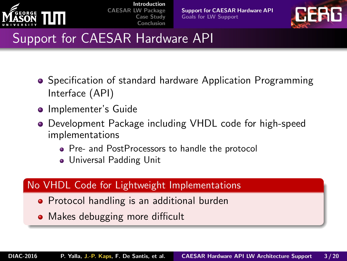<span id="page-2-0"></span>

[Support for CAESAR Hardware API](#page-2-0) [Goals for LW Support](#page-3-0)



## Support for CAESAR Hardware API

- Specification of standard hardware Application Programming Interface (API)
- **•** Implementer's Guide
- Development Package including VHDL code for high-speed implementations
	- Pre- and PostProcessors to handle the protocol
	- Universal Padding Unit

#### No VHDL Code for Lightweight Implementations

- Protocol handling is an additional burden
- Makes debugging more difficult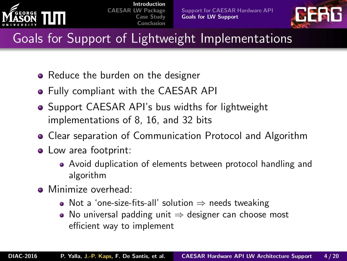<span id="page-3-0"></span>



## Goals for Support of Lightweight Implementations

- Reduce the burden on the designer
- Fully compliant with the CAESAR API
- **Support CAESAR API's bus widths for lightweight** implementations of 8, 16, and 32 bits
- Clear separation of Communication Protocol and Algorithm
- Low area footprint:
	- Avoid duplication of elements between protocol handling and algorithm
- Minimize overhead:
	- Not a 'one-size-fits-all' solution  $\Rightarrow$  needs tweaking
	- No universal padding unit  $\Rightarrow$  designer can choose most efficient way to implement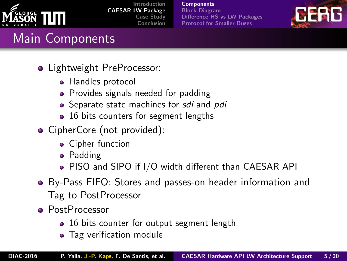<span id="page-4-0"></span>

| Introduction             |
|--------------------------|
| <b>CAESAR LW Package</b> |
| Case Study               |
| Conclusion               |

**[Components](#page-4-0)** [Block Diagram](#page-5-0) [Difference HS vs LW Packages](#page-7-0) [Protocol for Smaller Buses](#page-8-0)



## Main Components

- Lightweight PreProcessor:
	- Handles protocol
	- Provides signals needed for padding
	- Separate state machines for sdi and pdi
	- 16 bits counters for segment lengths
- CipherCore (not provided):
	- Cipher function
	- Padding
	- PISO and SIPO if I/O width different than CAESAR API
- By-Pass FIFO: Stores and passes-on header information and Tag to PostProcessor
- **•** PostProcessor
	- 16 bits counter for output segment length
	- Tag verification module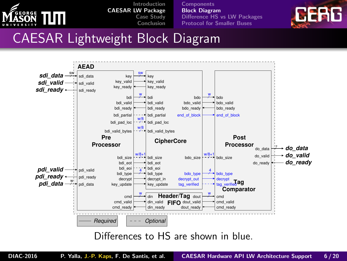<span id="page-5-0"></span>

**[Components](#page-4-0)** [Block Diagram](#page-5-0) [Difference HS vs LW Packages](#page-7-0) [Protocol for Smaller Buses](#page-8-0)



### CAESAR Lightweight Block Diagram



Differences to HS are shown in blue.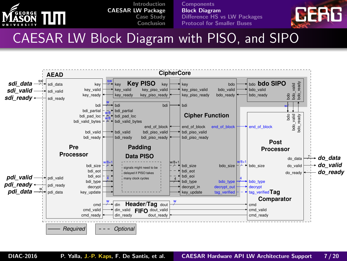

**[Components](#page-4-0)** [Block Diagram](#page-5-0) [Difference HS vs LW Packages](#page-7-0) [Protocol for Smaller Buses](#page-8-0)



#### CAESAR LW Block Diagram with PISO, and SIPO

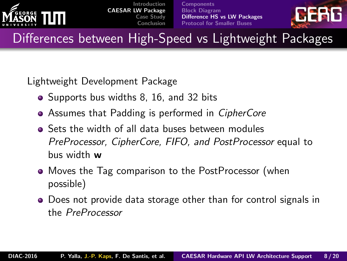<span id="page-7-0"></span>

**[Components](#page-4-0)** [Block Diagram](#page-5-0) [Difference HS vs LW Packages](#page-7-0) [Protocol for Smaller Buses](#page-8-0)



Differences between High-Speed vs Lightweight Packages

Lightweight Development Package

- Supports bus widths 8, 16, and 32 bits
- Assumes that Padding is performed in *CipherCore*
- Sets the width of all data buses between modules PreProcessor, CipherCore, FIFO, and PostProcessor equal to bus width w
- Moves the Tag comparison to the PostProcessor (when possible)
- Does not provide data storage other than for control signals in the PreProcessor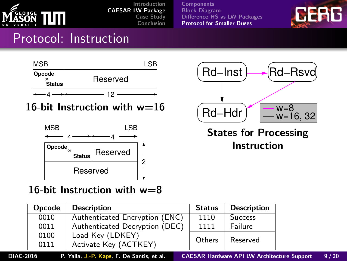<span id="page-8-0"></span>

**[Components](#page-4-0)** [Block Diagram](#page-5-0) [Difference HS vs LW Packages](#page-7-0) [Protocol for Smaller Buses](#page-8-0)



#### Protocol: Instruction



16-bit Instruction with  $w=16$ 



16-bit Instruction with  $w=8$ 

| Opcode | <b>Description</b>             | <b>Status</b> | <b>Description</b>        |  |
|--------|--------------------------------|---------------|---------------------------|--|
| 0010   | Authenticated Encryption (ENC) | 1110          | <b>Success</b>            |  |
| 0011   | Authenticated Decryption (DEC) | 1111          | Failure                   |  |
| 0100   | Load Key (LDKEY)               | Others        | Reserved                  |  |
| 0111   | Activate Key (ACTKEY)          |               |                           |  |
| 0.01c  |                                |               | $C = C \cup C = C \cup C$ |  |



States for Processing Instruction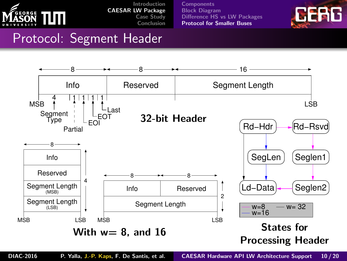

**[Components](#page-4-0)** [Block Diagram](#page-5-0) [Difference HS vs LW Packages](#page-7-0) [Protocol for Smaller Buses](#page-8-0)



#### Protocol: Segment Header

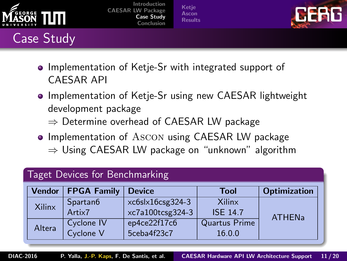<span id="page-10-0"></span>

# Case Study

[Introduction](#page-2-0) [CAESAR LW Package](#page-4-0) [Case Study](#page-10-0) [Conclusion](#page-19-0)

[Ketje](#page-11-0) [Ascon](#page-14-0) [Results](#page-17-0)



- Implementation of Ketje-Sr with integrated support of CAESAR API
- Implementation of Ketje-Sr using new CAESAR lightweight development package
	- $\Rightarrow$  Determine overhead of CAESAR LW package
- Implementation of Ascon using CAESAR LW package  $\Rightarrow$  Using CAESAR LW package on "unknown" algorithm

| Taget Devices for Benchmarking |                      |                  |                 |                     |  |
|--------------------------------|----------------------|------------------|-----------------|---------------------|--|
| <b>Vendor</b>                  | <b>FPGA Family</b>   | <b>Device</b>    | Tool            | <b>Optimization</b> |  |
| Xilinx                         | Spartan <sub>6</sub> | xc6slx16csg324-3 | Xilinx          | <b>ATHENa</b>       |  |
|                                | Artix7               | xc7a100tcsg324-3 | <b>ISE 14.7</b> |                     |  |
| Cyclone IV                     |                      | ep4ce22f17c6     | Quartus Prime   |                     |  |
|                                |                      | 5ceba4f23c7      | 16.0.0          |                     |  |
|                                | Altera               | Cyclone V        |                 |                     |  |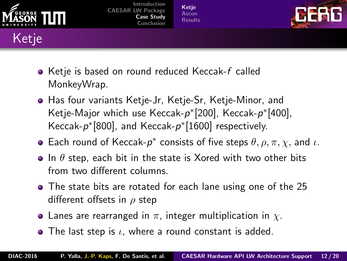<span id="page-11-0"></span>

[Ketje](#page-11-0) [Ascon](#page-14-0) [Results](#page-17-0)



- Ketje is based on round reduced Keccak-f called MonkeyWrap.
- Has four variants Ketje-Jr, Ketje-Sr, Ketje-Minor, and Ketje-Major which use Keccak-p\*[200], Keccak-p\*[400], Keccak- $p^*[800]$ , and Keccak- $p^*[1600]$  respectively.
- Each round of Keccak- $p^*$  consists of five steps  $\theta$ ,  $\rho$ ,  $\pi$ ,  $\chi$ , and  $\iota$ .
- In  $\theta$  step, each bit in the state is Xored with two other bits from two different columns.
- The state bits are rotated for each lane using one of the 25 different offsets in  $\rho$  step
- Lanes are rearranged in  $\pi$ , integer multiplication in  $\chi$ .
- $\bullet$  The last step is  $\iota$ , where a round constant is added.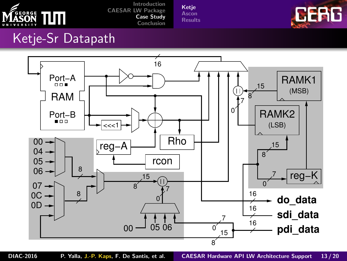

[Ketje](#page-11-0) [Ascon](#page-14-0) [Results](#page-17-0)



#### Ketje-Sr Datapath

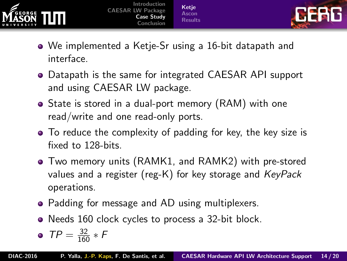



- We implemented a Ketje-Sr using a 16-bit datapath and interface.
- Datapath is the same for integrated CAESAR API support and using CAESAR LW package.
- State is stored in a dual-port memory (RAM) with one read/write and one read-only ports.
- To reduce the complexity of padding for key, the key size is fixed to 128-bits.
- Two memory units (RAMK1, and RAMK2) with pre-stored values and a register (reg-K) for key storage and KeyPack operations.
- Padding for message and AD using multiplexers.
- Needs 160 clock cycles to process a 32-bit block.

$$
\bullet \ \ \mathsf{TP} = \tfrac{32}{160} * \mathsf{F}
$$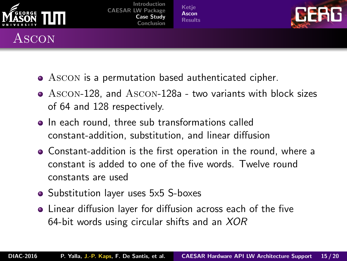<span id="page-14-0"></span>

Ascon

#### [Introduction](#page-2-0) [CAESAR LW Package](#page-4-0) [Case Study](#page-10-0) [Conclusion](#page-19-0)

[Ketje](#page-11-0) [Ascon](#page-14-0) [Results](#page-17-0)



- Ascon is a permutation based authenticated cipher.
- Ascon-128, and Ascon-128a two variants with block sizes of 64 and 128 respectively.
- In each round, three sub transformations called constant-addition, substitution, and linear diffusion
- Constant-addition is the first operation in the round, where a constant is added to one of the five words. Twelve round constants are used
- Substitution layer uses 5x5 S-boxes
- Linear diffusion layer for diffusion across each of the five 64-bit words using circular shifts and an XOR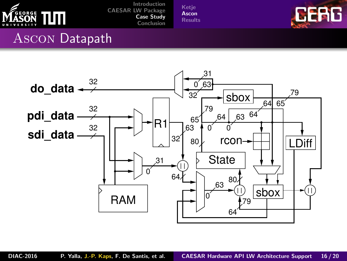

[Ketje](#page-11-0) [Ascon](#page-14-0) [Results](#page-17-0)



#### Ascon Datapath

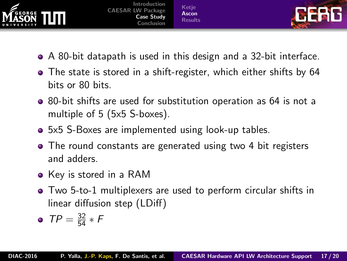



- A 80-bit datapath is used in this design and a 32-bit interface.
- The state is stored in a shift-register, which either shifts by 64 bits or 80 bits.
- 80-bit shifts are used for substitution operation as 64 is not a multiple of 5 (5x5 S-boxes).
- 5x5 S-Boxes are implemented using look-up tables.
- The round constants are generated using two 4 bit registers and adders.
- Key is stored in a RAM
- Two 5-to-1 multiplexers are used to perform circular shifts in linear diffusion step (LDiff)

• 
$$
TP = \frac{32}{54} * F
$$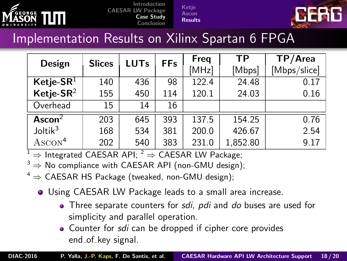<span id="page-17-0"></span>

[Ketje](#page-11-0) **[Ascon](#page-14-0)** [Results](#page-17-0)



#### Implementation Results on Xilinx Spartan 6 FPGA

| Design                | <b>Slices</b> | <b>LUTs</b> | <b>FFs</b> | Freq  | ТP       | TP/Area      |
|-----------------------|---------------|-------------|------------|-------|----------|--------------|
|                       |               |             |            | [MHz] | [Mbps]   | [Mbps/slice] |
| Ketje-SR $1$          | 140           | 436         | 98         | 122.4 | 24.48    | 0.17         |
| Ketje-SR <sup>2</sup> | 155           | 450         | 114        | 120.1 | 24.03    | 0.16         |
| Overhead              | 15            | 14          | 16         |       |          |              |
| Ascon $2$             | 203           | 645         | 393        | 137.5 | 154.25   | 0.76         |
| Joltik <sup>3</sup>   | 168           | 534         | 381        | 200.0 | 426.67   | 2.54         |
| $\text{ASCON}^4$      | 202           | 540         | 383        | 231.0 | 1,852.80 | 9.17         |

 $1 \Rightarrow$  Integrated CAESAR API;  $2 \Rightarrow$  CAESAR LW Package;

- $3 \Rightarrow$  No compliance with CAESAR API (non-GMU design);
- $4 \Rightarrow$  CAESAR HS Package (tweaked, non-GMU design);
	- Using CAESAR LW Package leads to a small area increase.
		- **•** Three separate counters for *sdi, pdi* and *do* buses are used for simplicity and parallel operation.
		- **•** Counter for sdi can be dropped if cipher core provides end\_of\_key signal.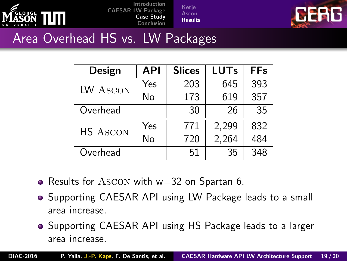

[Ketje](#page-11-0) [Ascon](#page-14-0) [Results](#page-17-0)



#### Area Overhead HS vs. LW Packages

| Design          | API | <b>Slices</b> | <b>LUTs</b> | <b>FFs</b> |
|-----------------|-----|---------------|-------------|------------|
| LW ASCON        | Yes | 203           | 645         | 393        |
|                 | No  | 173           | 619         | 357        |
| Overhead        |     | 30            | 26          | 35         |
| <b>HS ASCON</b> | Yes | 771           | 2,299       | 832        |
|                 | No  | 720           | 2,264       | 484        |
| Overhead        |     | 51            | 35          | 348        |

- Results for Ascon with w=32 on Spartan 6.
- Supporting CAESAR API using LW Package leads to a small area increase.
- Supporting CAESAR API using HS Package leads to a larger area increase.